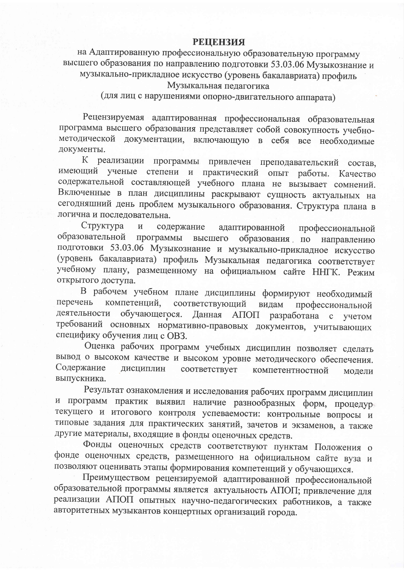## **РЕЦЕНЗИЯ**

на Адаптированную профессиональную образовательную программу высшего образования по направлению подготовки 53.03.06 Музыкознание и музыкально-прикладное искусство (уровень бакалавриата) профиль Музыкальная педагогика

(для лиц с нарушениями опорно-двигательного аппарата)

Рецензируемая адаптированная профессиональная образовательная программа высшего образования представляет собой совокупность учебнометодической документации, включающую в себя все необходимые документы.

К реализации программы привлечен преподавательский состав, имеющий ученые степени и практический опыт работы. Качество содержательной составляющей учебного плана не вызывает сомнений. Включенные в план дисциплины раскрывают сущность актуальных на сегодняшний день проблем музыкального образования. Структура плана в логична и последовательна.

Структура  $\,$   $\,$   $\,$   $\,$ содержание адаптированной профессиональной образовательной программы образования по направлению высшего подготовки 53.03.06 Музыкознание и музыкально-прикладное искусство (уровень бакалавриата) профиль Музыкальная педагогика соответствует учебному плану, размещенному на официальном сайте ННГК. Режим открытого доступа.

В рабочем учебном плане дисциплины формируют необходимый перечень соответствующий компетенций, видам профессиональной деятельности обучающегося. Данная АПОП разработана с учетом требований основных нормативно-правовых документов, учитывающих специфику обучения лиц с OB3.

Оценка рабочих программ учебных дисциплин позволяет сделать вывод о высоком качестве и высоком уровне методического обеспечения. Содержание дисциплин соответствует компетентностной модели выпускника.

Результат ознакомления и исследования рабочих программ дисциплин и программ практик выявил наличие разнообразных форм, процедур текущего и итогового контроля успеваемости: контрольные вопросы и типовые задания для практических занятий, зачетов и экзаменов, а также другие материалы, входящие в фонды оценочных средств.

Фонды оценочных средств соответствуют пунктам Положения о фонде оценочных средств, размещенного на официальном сайте вуза и позволяют оценивать этапы формирования компетенций у обучающихся.

Преимуществом рецензируемой адаптированной профессиональной образовательной программы является актуальность АПОП; привлечение для реализации АПОП опытных научно-педагогических работников, а также авторитетных музыкантов концертных организаций города.